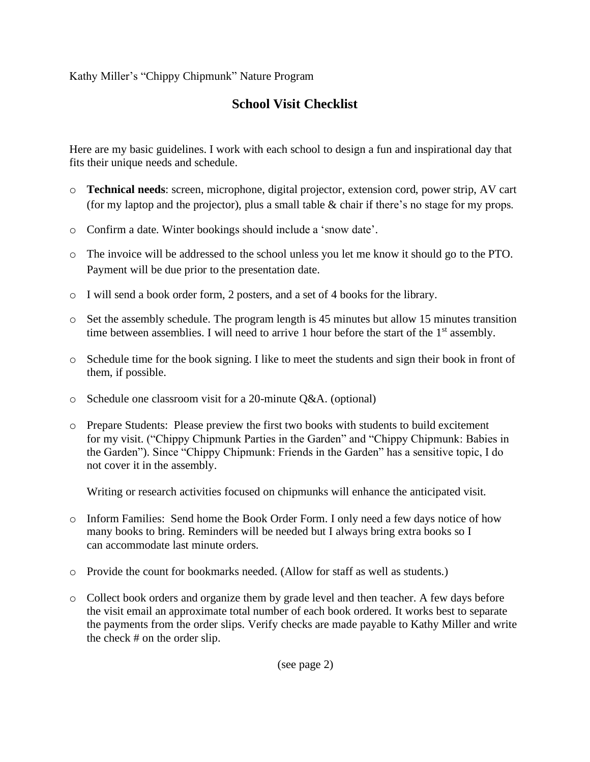Kathy Miller's "Chippy Chipmunk" Nature Program

## **School Visit Checklist**

Here are my basic guidelines. I work with each school to design a fun and inspirational day that fits their unique needs and schedule.

- o **Technical needs**: screen, microphone, digital projector, extension cord, power strip, AV cart (for my laptop and the projector), plus a small table & chair if there's no stage for my props.
- o Confirm a date. Winter bookings should include a 'snow date'.
- o The invoice will be addressed to the school unless you let me know it should go to the PTO. Payment will be due prior to the presentation date.
- o I will send a book order form, 2 posters, and a set of 4 books for the library.
- $\circ$  Set the assembly schedule. The program length is 45 minutes but allow 15 minutes transition time between assemblies. I will need to arrive 1 hour before the start of the  $1<sup>st</sup>$  assembly.
- o Schedule time for the book signing. I like to meet the students and sign their book in front of them, if possible.
- o Schedule one classroom visit for a 20-minute Q&A. (optional)
- o Prepare Students: Please preview the first two books with students to build excitement for my visit. ("Chippy Chipmunk Parties in the Garden" and "Chippy Chipmunk: Babies in the Garden"). Since "Chippy Chipmunk: Friends in the Garden" has a sensitive topic, I do not cover it in the assembly.

Writing or research activities focused on chipmunks will enhance the anticipated visit.

- o Inform Families: Send home the Book Order Form. I only need a few days notice of how many books to bring. Reminders will be needed but I always bring extra books so I can accommodate last minute orders.
- o Provide the count for bookmarks needed. (Allow for staff as well as students.)
- o Collect book orders and organize them by grade level and then teacher. A few days before the visit email an approximate total number of each book ordered. It works best to separate the payments from the order slips. Verify checks are made payable to Kathy Miller and write the check # on the order slip.